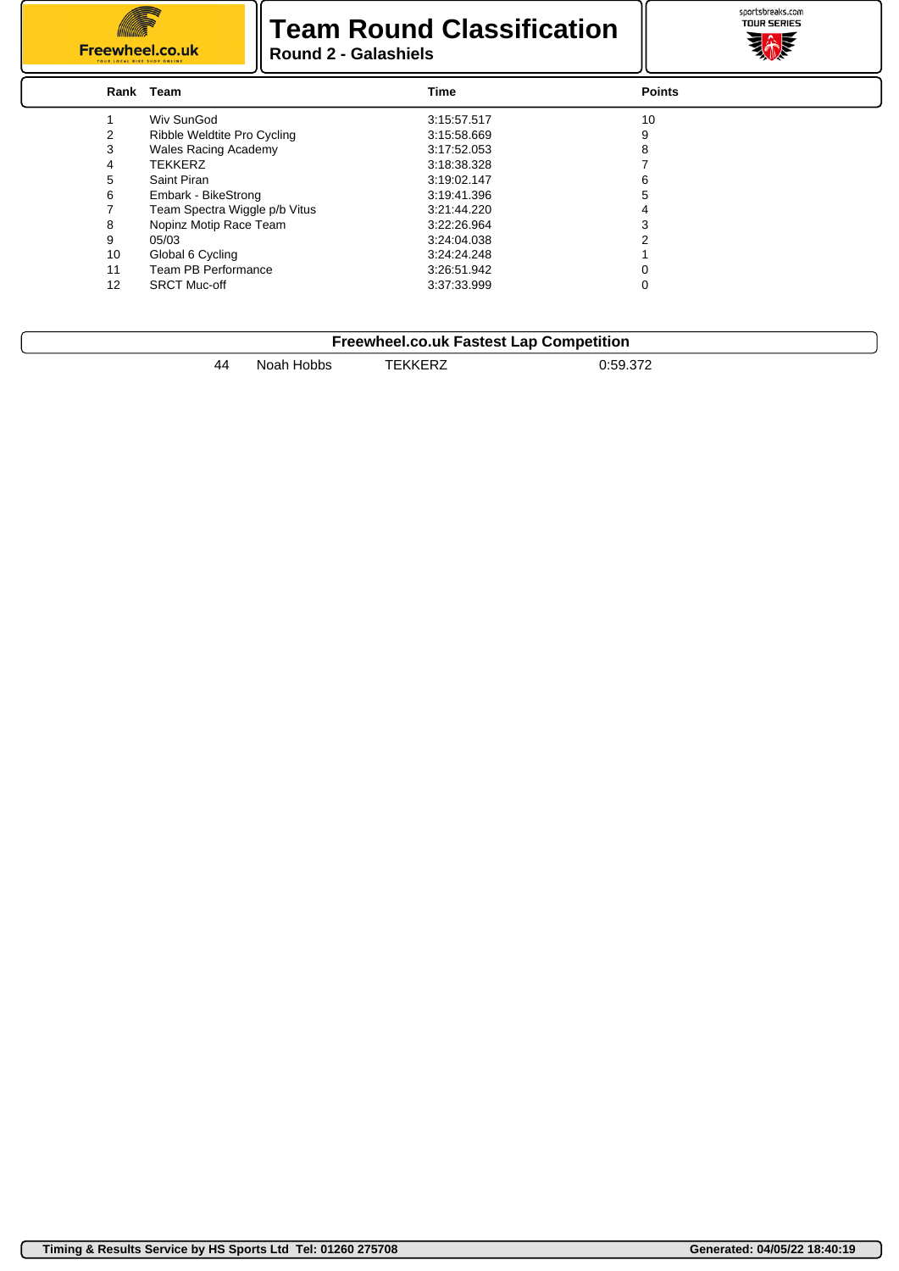

#### **Team Round Classification Round 2 - Galashiels**



|    | Rank Team                     | <b>Time</b> | <b>Points</b> |  |
|----|-------------------------------|-------------|---------------|--|
|    | Wiv SunGod                    | 3:15:57.517 | 10            |  |
|    | Ribble Weldtite Pro Cycling   | 3:15:58.669 | 9             |  |
| 3  | <b>Wales Racing Academy</b>   | 3:17:52.053 |               |  |
| 4  | <b>TEKKERZ</b>                | 3:18:38.328 |               |  |
| 5  | Saint Piran                   | 3:19:02.147 |               |  |
| 6  | Embark - BikeStrong           | 3:19:41.396 |               |  |
|    | Team Spectra Wiggle p/b Vitus | 3:21:44.220 |               |  |
| 8  | Nopinz Motip Race Team        | 3:22:26.964 |               |  |
| 9  | 05/03                         | 3:24:04.038 |               |  |
| 10 | Global 6 Cycling              | 3:24:24.248 |               |  |
| 11 | Team PB Performance           | 3:26:51.942 |               |  |
| 12 | <b>SRCT Muc-off</b>           | 3:37:33.999 | 0             |  |

| <b>Freewheel.co.uk Fastest Lap Competition</b> |            |         |          |  |
|------------------------------------------------|------------|---------|----------|--|
| 44                                             | Noah Hobbs | TEKKERZ | 0:59.372 |  |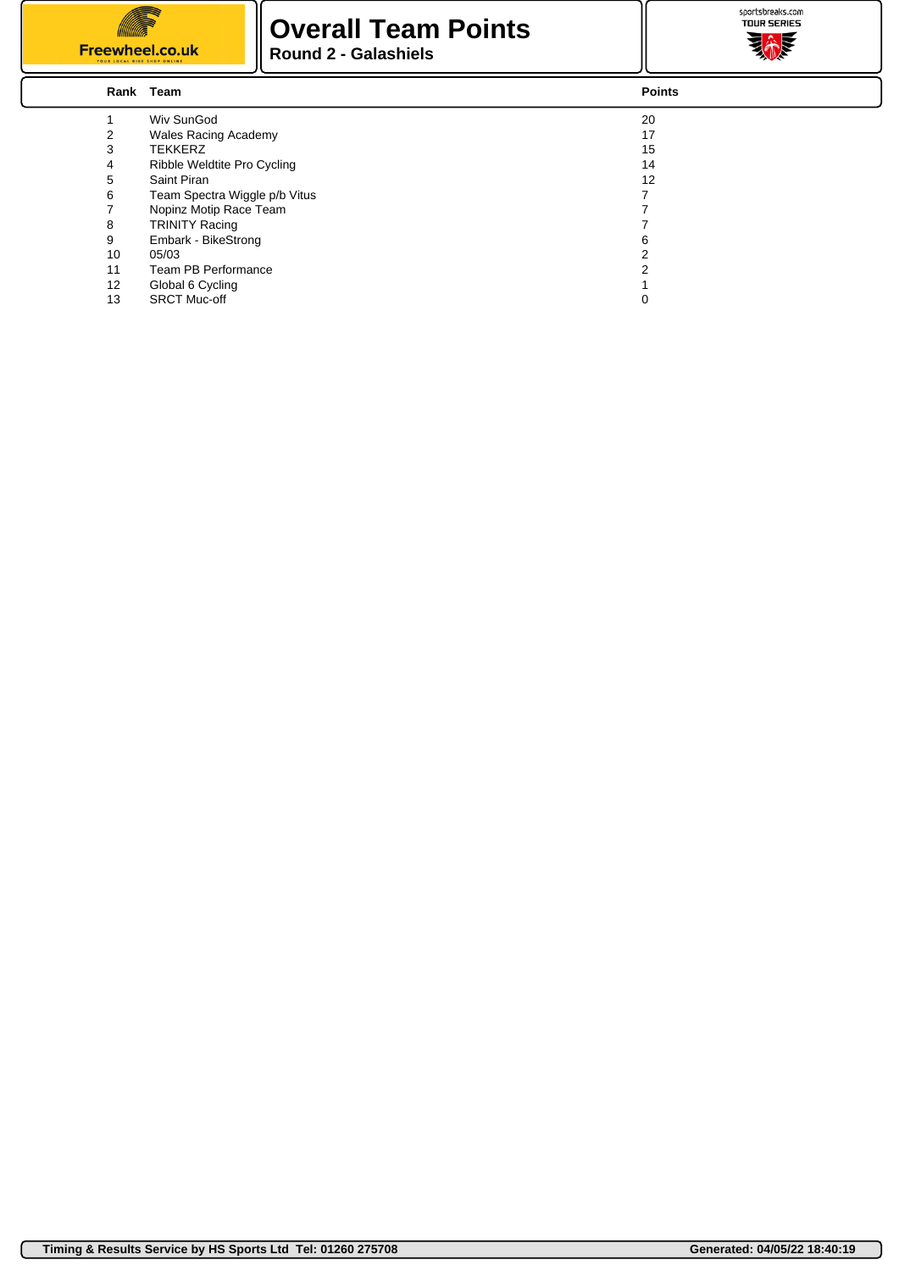

#### **Overall Team Points Round 2 - Galashiels**



|    | Rank Team                     | <b>Points</b> |
|----|-------------------------------|---------------|
|    | Wiv SunGod                    | 20            |
|    | <b>Wales Racing Academy</b>   | 17            |
| 3  | <b>TEKKERZ</b>                | 15            |
| 4  | Ribble Weldtite Pro Cycling   | 14            |
| 5  | Saint Piran                   | 12            |
| 6  | Team Spectra Wiggle p/b Vitus |               |
|    | Nopinz Motip Race Team        |               |
| 8  | <b>TRINITY Racing</b>         |               |
| 9  | Embark - BikeStrong           | 6             |
| 10 | 05/03                         | 2             |
| 11 | Team PB Performance           | 2             |
| 12 | Global 6 Cycling              |               |
| 13 | <b>SRCT Muc-off</b>           | 0             |
|    |                               |               |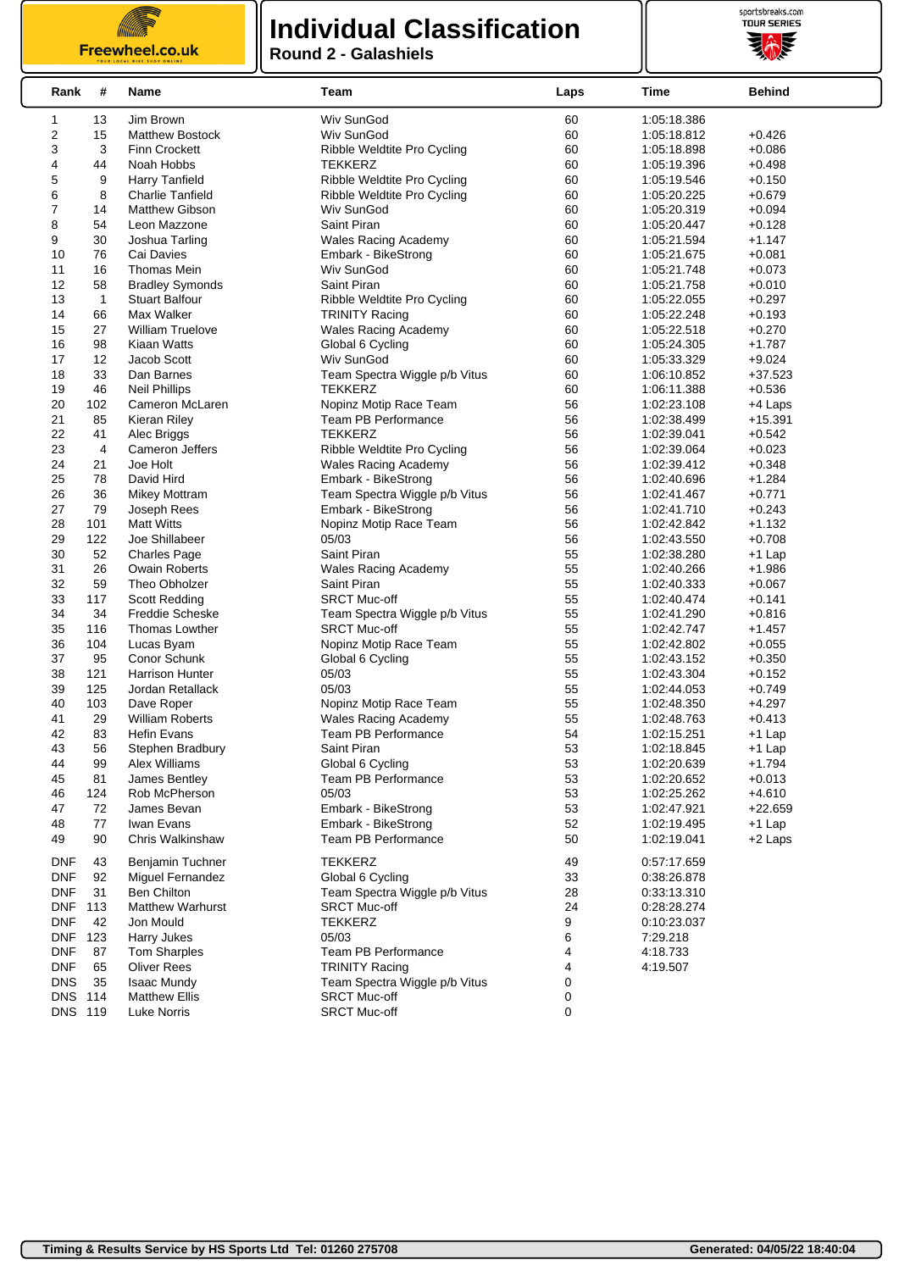Freewheel.co.uk

# **Individual Classification**



**Round 2 - Galashiels**

| Rank           | #         | Name                                       | Team                                           | Laps     | Time                       | <b>Behind</b>        |
|----------------|-----------|--------------------------------------------|------------------------------------------------|----------|----------------------------|----------------------|
| 1              | 13        | Jim Brown                                  | Wiv SunGod                                     | 60       | 1:05:18.386                |                      |
| 2              | 15        | <b>Matthew Bostock</b>                     | Wiv SunGod                                     | 60       | 1:05:18.812                | $+0.426$             |
| 3              | 3         | <b>Finn Crockett</b>                       | Ribble Weldtite Pro Cycling                    | 60       | 1:05:18.898                | $+0.086$             |
| 4              | 44        | Noah Hobbs                                 | TEKKERZ                                        | 60       | 1:05:19.396                | $+0.498$             |
| 5              | 9         | Harry Tanfield                             | Ribble Weldtite Pro Cycling                    | 60       | 1:05:19.546                | $+0.150$             |
| 6              | 8         | Charlie Tanfield                           | Ribble Weldtite Pro Cycling                    | 60       | 1:05:20.225                | $+0.679$             |
| 7              | 14        | <b>Matthew Gibson</b>                      | Wiv SunGod                                     | 60       | 1:05:20.319                | $+0.094$             |
| 8              | 54        | Leon Mazzone                               | Saint Piran                                    | 60       | 1:05:20.447                | $+0.128$             |
| 9              | 30        | Joshua Tarling                             | Wales Racing Academy                           | 60       | 1:05:21.594                | $+1.147$             |
| 10             | 76        | Cai Davies                                 | Embark - BikeStrong                            | 60       | 1:05:21.675                | $+0.081$             |
| 11             | 16        | Thomas Mein                                | Wiv SunGod                                     | 60       | 1:05:21.748                | $+0.073$             |
| 12             | 58        | <b>Bradley Symonds</b>                     | Saint Piran                                    | 60       | 1:05:21.758                | $+0.010$             |
| 13             | 1         | <b>Stuart Balfour</b>                      | Ribble Weldtite Pro Cycling                    | 60       | 1:05:22.055                | $+0.297$             |
| 14             | 66        | Max Walker                                 | <b>TRINITY Racing</b>                          | 60       | 1:05:22.248                | $+0.193$             |
| 15             | 27        | <b>William Truelove</b>                    | Wales Racing Academy                           | 60       | 1:05:22.518                | $+0.270$             |
| 16             | 98        | Kiaan Watts                                | Global 6 Cycling                               | 60       | 1:05:24.305                | $+1.787$             |
| 17             | 12        | Jacob Scott                                | Wiv SunGod                                     | 60       | 1:05:33.329                | $+9.024$             |
| 18             | 33        | Dan Barnes                                 | Team Spectra Wiggle p/b Vitus                  | 60       | 1:06:10.852                | $+37.523$            |
| 19             | 46        | <b>Neil Phillips</b>                       | <b>TEKKERZ</b>                                 | 60       | 1:06:11.388                | $+0.536$             |
| 20             | 102       | Cameron McLaren                            | Nopinz Motip Race Team                         | 56       | 1:02:23.108                | +4 Laps              |
| 21             | 85        | Kieran Riley                               | <b>Team PB Performance</b>                     | 56       | 1:02:38.499                | $+15.391$            |
| 22             | 41        | Alec Briggs                                | <b>TEKKERZ</b>                                 | 56       | 1:02:39.041                | $+0.542$             |
| 23             | 4         | Cameron Jeffers                            | Ribble Weldtite Pro Cycling                    | 56       | 1:02:39.064                | $+0.023$             |
| 24             | 21        | Joe Holt                                   | Wales Racing Academy                           | 56       | 1:02:39.412                | $+0.348$             |
| 25             | 78        | David Hird                                 | Embark - BikeStrong                            | 56       | 1:02:40.696                | $+1.284$             |
| 26             | 36        | <b>Mikey Mottram</b>                       | Team Spectra Wiggle p/b Vitus                  | 56       | 1:02:41.467                | $+0.771$             |
| 27             | 79        | Joseph Rees                                | Embark - BikeStrong                            | 56       | 1:02:41.710                | $+0.243$             |
| 28             | 101       | <b>Matt Witts</b>                          | Nopinz Motip Race Team                         | 56       | 1:02:42.842                | $+1.132$             |
| 29             | 122       | Joe Shillabeer                             | 05/03                                          | 56       | 1:02:43.550                | $+0.708$             |
| 30             | 52        | <b>Charles Page</b>                        | Saint Piran                                    | 55       | 1:02:38.280                | $+1$ Lap             |
| 31             | 26        | <b>Owain Roberts</b>                       | <b>Wales Racing Academy</b>                    | 55       | 1:02:40.266                | $+1.986$             |
| 32             | 59        | Theo Obholzer                              | Saint Piran                                    | 55       | 1:02:40.333                | $+0.067$             |
| 33             | 117       | <b>Scott Redding</b>                       | <b>SRCT Muc-off</b>                            | 55       | 1:02:40.474                | $+0.141$             |
| 34             | 34        | <b>Freddie Scheske</b>                     | Team Spectra Wiggle p/b Vitus                  | 55       | 1:02:41.290                | $+0.816$             |
| 35             | 116       | Thomas Lowther                             | <b>SRCT Muc-off</b>                            | 55       | 1:02:42.747                | $+1.457$             |
| 36             | 104       | Lucas Byam                                 | Nopinz Motip Race Team                         | 55       | 1:02:42.802                | $+0.055$             |
| 37             | 95        | Conor Schunk                               | Global 6 Cycling                               | 55       | 1:02:43.152                | $+0.350$             |
| 38<br>39       | 121       | <b>Harrison Hunter</b><br>Jordan Retallack | 05/03<br>05/03                                 | 55<br>55 | 1:02:43.304                | $+0.152$             |
| 40             | 125       |                                            |                                                | 55       | 1:02:44.053                | $+0.749$             |
| 41             | 103<br>29 | Dave Roper<br><b>William Roberts</b>       | Nopinz Motip Race Team<br>Wales Racing Academy | 55       | 1:02:48.350<br>1:02:48.763 | $+4.297$<br>$+0.413$ |
| 42             | 83        | <b>Hefin Evans</b>                         | Team PB Performance                            | 54       | 1:02:15.251                | $+1$ Lap             |
| 43             | 56        | Stephen Bradbury                           | Saint Piran                                    | 53       | 1:02:18.845                | +1 Lap               |
| 44             | 99        | Alex Williams                              | Global 6 Cycling                               | 53       | 1:02:20.639                | $+1.794$             |
| 45             | 81        | James Bentley                              | Team PB Performance                            | 53       | 1:02:20.652                | $+0.013$             |
| 46             | 124       | Rob McPherson                              | 05/03                                          | 53       | 1:02:25.262                | +4.610               |
| 47             | 72        | James Bevan                                | Embark - BikeStrong                            | 53       | 1:02:47.921                | $+22.659$            |
| 48             | 77        | Iwan Evans                                 | Embark - BikeStrong                            | 52       | 1:02:19.495                | $+1$ Lap             |
| 49             | 90        | Chris Walkinshaw                           | Team PB Performance                            | 50       | 1:02:19.041                | +2 Laps              |
| <b>DNF</b>     | 43        | Benjamin Tuchner                           | <b>TEKKERZ</b>                                 | 49       | 0:57:17.659                |                      |
| <b>DNF</b>     | 92        | Miguel Fernandez                           | Global 6 Cycling                               | 33       | 0:38:26.878                |                      |
| <b>DNF</b>     | 31        | <b>Ben Chilton</b>                         | Team Spectra Wiggle p/b Vitus                  | 28       | 0:33:13.310                |                      |
| <b>DNF</b>     | 113       | <b>Matthew Warhurst</b>                    | <b>SRCT Muc-off</b>                            | 24       | 0:28:28.274                |                      |
| <b>DNF</b>     | 42        | Jon Mould                                  | <b>TEKKERZ</b>                                 | 9        | 0:10:23.037                |                      |
| <b>DNF</b>     | 123       | Harry Jukes                                | 05/03                                          | 6        | 7:29.218                   |                      |
| <b>DNF</b>     | 87        | <b>Tom Sharples</b>                        | Team PB Performance                            | 4        | 4:18.733                   |                      |
| <b>DNF</b>     | 65        | <b>Oliver Rees</b>                         | <b>TRINITY Racing</b>                          | 4        | 4:19.507                   |                      |
| <b>DNS</b>     | 35        | <b>Isaac Mundy</b>                         | Team Spectra Wiggle p/b Vitus                  | 0        |                            |                      |
| <b>DNS 114</b> |           | <b>Matthew Ellis</b>                       | <b>SRCT Muc-off</b>                            | 0        |                            |                      |
| DNS 119        |           | Luke Norris                                | <b>SRCT Muc-off</b>                            | 0        |                            |                      |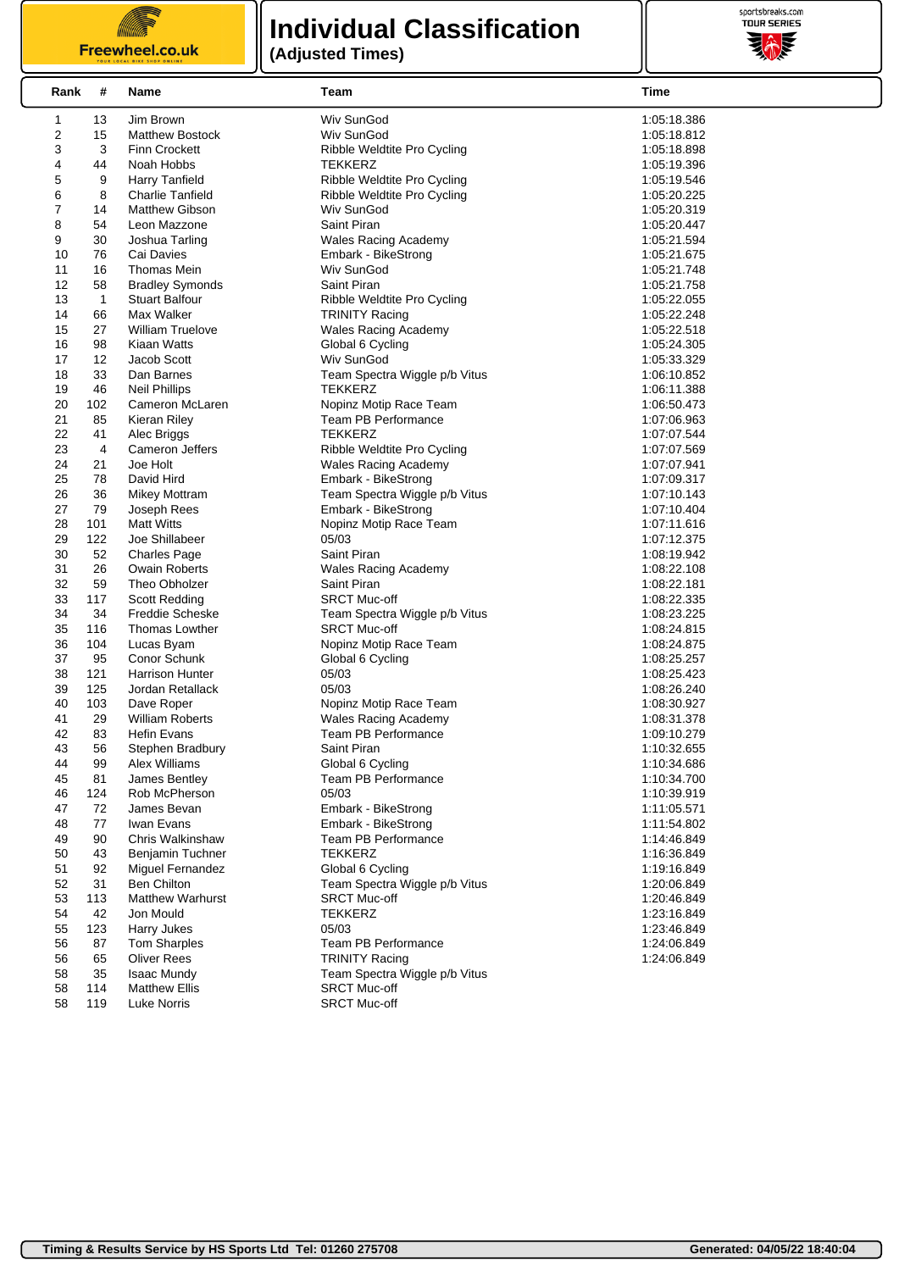**IIIII** Freewheel.co.uk

### **Individual Classification (Adjusted Times)**



| Rank           | #              | Name                              | Team                                                      | Time                       |
|----------------|----------------|-----------------------------------|-----------------------------------------------------------|----------------------------|
| 1              | 13             | Jim Brown                         | Wiv SunGod                                                | 1:05:18.386                |
| $\overline{c}$ | 15             | <b>Matthew Bostock</b>            | Wiv SunGod                                                | 1:05:18.812                |
| 3              | 3              | <b>Finn Crockett</b>              | Ribble Weldtite Pro Cycling                               | 1:05:18.898                |
| 4              | 44             | Noah Hobbs                        | <b>TEKKERZ</b>                                            | 1:05:19.396                |
| 5              | 9              | Harry Tanfield                    | Ribble Weldtite Pro Cycling                               | 1:05:19.546                |
| 6              | 8              | <b>Charlie Tanfield</b>           | Ribble Weldtite Pro Cycling                               | 1:05:20.225                |
| $\overline{7}$ | 14             | <b>Matthew Gibson</b>             | Wiv SunGod                                                | 1:05:20.319                |
| 8              | 54             | Leon Mazzone                      | Saint Piran                                               | 1:05:20.447                |
| 9              | 30             | Joshua Tarling                    | <b>Wales Racing Academy</b>                               | 1:05:21.594                |
| 10             | 76             | Cai Davies                        | Embark - BikeStrong                                       | 1:05:21.675                |
| 11             | 16             | Thomas Mein                       | Wiv SunGod                                                | 1:05:21.748                |
| 12             | 58             | <b>Bradley Symonds</b>            | Saint Piran                                               | 1:05:21.758                |
| 13             | $\mathbf{1}$   | <b>Stuart Balfour</b>             | Ribble Weldtite Pro Cycling                               | 1:05:22.055                |
| 14             | 66             | Max Walker                        | <b>TRINITY Racing</b>                                     | 1:05:22.248                |
| 15             | 27             | <b>William Truelove</b>           | <b>Wales Racing Academy</b>                               | 1:05:22.518                |
| 16             | 98             | Kiaan Watts                       | Global 6 Cycling                                          | 1:05:24.305                |
| 17             | 12             | Jacob Scott                       | Wiv SunGod                                                | 1:05:33.329                |
| 18             | 33             | Dan Barnes                        | Team Spectra Wiggle p/b Vitus                             | 1:06:10.852                |
| 19             | 46             | <b>Neil Phillips</b>              | <b>TEKKERZ</b>                                            | 1:06:11.388                |
| 20             | 102            | Cameron McLaren                   | Nopinz Motip Race Team                                    | 1:06:50.473                |
| 21             | 85             | Kieran Riley                      | <b>Team PB Performance</b>                                | 1:07:06.963                |
| 22             | 41             | Alec Briggs                       | <b>TEKKERZ</b>                                            | 1:07:07.544                |
| 23             | $\overline{4}$ | <b>Cameron Jeffers</b>            | Ribble Weldtite Pro Cycling                               | 1:07:07.569                |
| 24             | 21             | Joe Holt                          | <b>Wales Racing Academy</b>                               | 1:07:07.941                |
| 25             | 78             | David Hird                        | Embark - BikeStrong                                       | 1:07:09.317                |
| 26             | 36             | <b>Mikey Mottram</b>              | Team Spectra Wiggle p/b Vitus                             | 1:07:10.143                |
| 27             | 79             | Joseph Rees                       | Embark - BikeStrong                                       | 1:07:10.404                |
| 28             | 101            | <b>Matt Witts</b>                 | Nopinz Motip Race Team                                    | 1:07:11.616                |
| 29             | 122            | Joe Shillabeer                    | 05/03                                                     | 1:07:12.375                |
| 30             | 52             | <b>Charles Page</b>               | Saint Piran                                               | 1:08:19.942                |
| 31             | 26             | <b>Owain Roberts</b>              | <b>Wales Racing Academy</b>                               | 1:08:22.108                |
| 32             | 59             | Theo Obholzer                     | Saint Piran                                               | 1:08:22.181                |
| 33             | 117            | <b>Scott Redding</b>              | <b>SRCT Muc-off</b>                                       | 1:08:22.335                |
| 34             | 34             | <b>Freddie Scheske</b>            | Team Spectra Wiggle p/b Vitus                             | 1:08:23.225                |
| 35             | 116            | Thomas Lowther                    | <b>SRCT Muc-off</b>                                       | 1:08:24.815                |
| 36             | 104            | Lucas Byam                        | Nopinz Motip Race Team                                    | 1:08:24.875                |
| 37             | 95             | Conor Schunk                      | Global 6 Cycling                                          | 1:08:25.257                |
| 38             | 121            | Harrison Hunter                   | 05/03                                                     | 1:08:25.423                |
| 39             | 125            | Jordan Retallack                  | 05/03                                                     | 1:08:26.240                |
| 40             | 103<br>29      | Dave Roper                        | Nopinz Motip Race Team                                    | 1:08:30.927                |
| 41<br>42       |                | <b>William Roberts</b>            | <b>Wales Racing Academy</b><br><b>Team PB Performance</b> | 1:08:31.378                |
| 43             | 83<br>56       | <b>Hefin Evans</b>                | Saint Piran                                               | 1:09:10.279                |
| 44             | 99             | Stephen Bradbury<br>Alex Williams | Global 6 Cycling                                          | 1:10:32.655<br>1:10:34.686 |
| 45             | 81             | James Bentley                     | <b>Team PB Performance</b>                                | 1:10:34.700                |
| 46             | 124            | Rob McPherson                     | 05/03                                                     | 1:10:39.919                |
| 47             | 72             | James Bevan                       | Embark - BikeStrong                                       | 1:11:05.571                |
| 48             | 77             | Iwan Evans                        | Embark - BikeStrong                                       | 1:11:54.802                |
| 49             | 90             | Chris Walkinshaw                  | Team PB Performance                                       | 1:14:46.849                |
| 50             | 43             | <b>Benjamin Tuchner</b>           | <b>TEKKERZ</b>                                            | 1:16:36.849                |
| 51             | 92             | Miguel Fernandez                  | Global 6 Cycling                                          | 1:19:16.849                |
| 52             | 31             | <b>Ben Chilton</b>                | Team Spectra Wiggle p/b Vitus                             | 1:20:06.849                |
| 53             | 113            | <b>Matthew Warhurst</b>           | <b>SRCT Muc-off</b>                                       | 1:20:46.849                |
| 54             | 42             | Jon Mould                         | <b>TEKKERZ</b>                                            | 1:23:16.849                |
| 55             | 123            | Harry Jukes                       | 05/03                                                     | 1:23:46.849                |
| 56             | 87             | <b>Tom Sharples</b>               | Team PB Performance                                       | 1:24:06.849                |
| 56             | 65             | <b>Oliver Rees</b>                | <b>TRINITY Racing</b>                                     | 1:24:06.849                |
| 58             | 35             | <b>Isaac Mundy</b>                | Team Spectra Wiggle p/b Vitus                             |                            |
| 58             | 114            | <b>Matthew Ellis</b>              | <b>SRCT Muc-off</b>                                       |                            |
| 58             | 119            | <b>Luke Norris</b>                | <b>SRCT Muc-off</b>                                       |                            |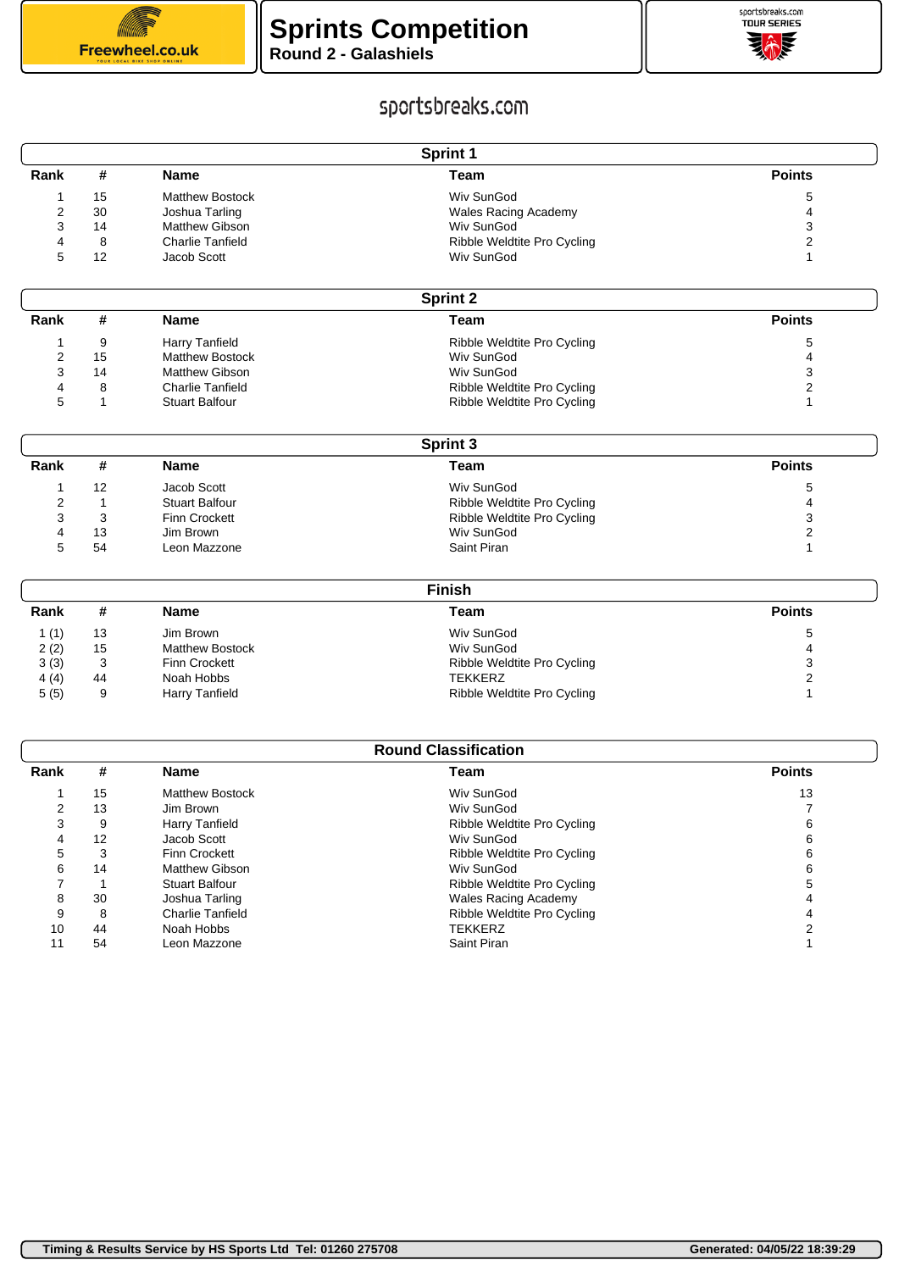



## sportsbreaks.com

| <b>Sprint 1</b> |                             |                                       |                               |                   |  |  |
|-----------------|-----------------------------|---------------------------------------|-------------------------------|-------------------|--|--|
| Rank            | #                           | <b>Name</b>                           | <b>Team</b>                   | <b>Points</b>     |  |  |
| 1               | 15                          | <b>Matthew Bostock</b>                | Wiv SunGod                    | 5                 |  |  |
| $\overline{2}$  | 30                          | Joshua Tarling                        | <b>Wales Racing Academy</b>   | 4                 |  |  |
| 3               | 14                          | <b>Matthew Gibson</b>                 | Wiv SunGod                    | 3                 |  |  |
| 4               | 8                           | <b>Charlie Tanfield</b>               | Ribble Weldtite Pro Cycling   | 2                 |  |  |
| 5               | 12                          | Jacob Scott                           | Wiv SunGod                    | 1                 |  |  |
|                 |                             |                                       | <b>Sprint 2</b>               |                   |  |  |
| Rank            | #                           | <b>Name</b>                           | <b>Team</b>                   | <b>Points</b>     |  |  |
| 1               | 9                           | <b>Harry Tanfield</b>                 | Ribble Weldtite Pro Cycling   | 5                 |  |  |
| 2               | 15                          | <b>Matthew Bostock</b>                | Wiv SunGod                    | 4                 |  |  |
| 3               | 14                          | <b>Matthew Gibson</b>                 | Wiv SunGod                    | 3                 |  |  |
| 4               | 8                           | <b>Charlie Tanfield</b>               | Ribble Weldtite Pro Cycling   | 2                 |  |  |
| 5               | 1                           | <b>Stuart Balfour</b>                 | Ribble Weldtite Pro Cycling   | 1                 |  |  |
|                 |                             |                                       | <b>Sprint 3</b>               |                   |  |  |
| Rank            | #                           | <b>Name</b>                           | <b>Team</b>                   | <b>Points</b>     |  |  |
|                 |                             |                                       |                               |                   |  |  |
| 1               | 12                          | Jacob Scott                           | Wiv SunGod                    | 5                 |  |  |
| 2               | $\mathbf{1}$                | <b>Stuart Balfour</b>                 | Ribble Weldtite Pro Cycling   | 4                 |  |  |
| 3               | 3                           | <b>Finn Crockett</b>                  | Ribble Weldtite Pro Cycling   | 3                 |  |  |
| 4               | 13                          | Jim Brown                             | Wiv SunGod                    | 2                 |  |  |
| 5               | 54                          | Leon Mazzone                          | Saint Piran                   | 1                 |  |  |
|                 |                             |                                       | <b>Finish</b>                 |                   |  |  |
| Rank            | #                           | <b>Name</b>                           | <b>Team</b>                   | <b>Points</b>     |  |  |
| 1(1)            | 13                          | Jim Brown                             | Wiv SunGod                    | 5                 |  |  |
| 2(2)            | 15                          | <b>Matthew Bostock</b>                | Wiv SunGod                    | 4                 |  |  |
| 3(3)            | 3                           | <b>Finn Crockett</b>                  | Ribble Weldtite Pro Cycling   | 3                 |  |  |
| 4(4)            | 44                          | Noah Hobbs                            | TEKKERZ                       | 2                 |  |  |
| 5(5)            | 9                           | <b>Harry Tanfield</b>                 | Ribble Weldtite Pro Cycling   | 1                 |  |  |
|                 |                             |                                       |                               |                   |  |  |
|                 | <b>Round Classification</b> |                                       |                               |                   |  |  |
| Rank            | #                           | <b>Name</b>                           | <b>Team</b>                   | <b>Points</b>     |  |  |
| 1               | 15                          | <b>Matthew Bostock</b>                | Wiv SunGod                    | 13                |  |  |
| $\overline{2}$  | 13                          | Jim Brown                             | Wiv SunGod                    | $\overline{7}$    |  |  |
| 3               | 9                           | Harry Tanfield                        | Ribble Weldtite Pro Cycling   | 6                 |  |  |
| 4               | 12                          | Jacob Scott                           | Wiv SunGod                    | 6                 |  |  |
| 5               | 3                           | Finn Crockett                         | Ribble Weldtite Pro Cycling   | 6                 |  |  |
| 6               | 14                          | <b>Matthew Gibson</b>                 | Wiv SunGod                    | 6                 |  |  |
| 7               | $\mathbf 1$                 | <b>Stuart Balfour</b>                 | Ribble Weldtite Pro Cycling   | 5                 |  |  |
| 8               | 30                          | Joshua Tarling                        | <b>Wales Racing Academy</b>   | $\overline{4}$    |  |  |
| 9               | 8                           | <b>Charlie Tanfield</b><br>Noah Hobbs | Ribble Weldtite Pro Cycling   | 4                 |  |  |
| 10<br>11        | 44<br>54                    | Leon Mazzone                          | <b>TEKKERZ</b><br>Saint Piran | 2<br>$\mathbf{1}$ |  |  |
|                 |                             |                                       |                               |                   |  |  |